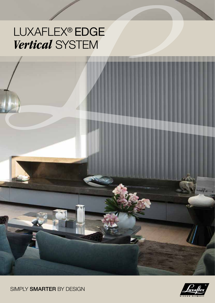## LUXAFLEX<sup>®</sup> EDGE *Vertical* System





SIMPLY SMARTER BY DESIGN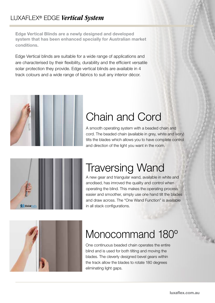Edge Vertical Blinds are a newly designed and developed system that has been enhanced specially for Australian market conditions.

Edge Vertical blinds are suitable for a wide range of applications and are characterised by their flexibility, durability and the efficient versatile solar protection they provide. Edge vertical blinds are available in 4 track colours and a wide range of fabrics to suit any interior décor.



## Chain and Cord

A smooth operating system with a beaded chain and cord. The beaded chain (available in grey, white and ivory) tilts the blades which allows you to have complete control and direction of the light you want in the room.



## Traversing Wand

A new gear and triangular wand, available in white and anodised, has imroved the quality and control when operating the blind. This makes the operating process easier and smoother, simply use one hand tilt the blades and draw across. The "One Wand Function" is available in all stack configurations.



## Monocommand 180º

One continuous beaded chain operates the entire blind and is used for both tilting and moving the blades. The cleverly designed bevel gears within the track allow the blades to rotate 180 degrees eliminating light gaps.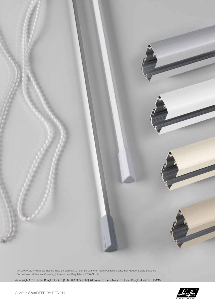

\*All LUXAFLEX® Products that are installed correctly will comply with the Trade Practices (Consumer Product Safety Standard - Corded Internal Window Coverings) Amendment Regulations 2010 (No. 1).

©Copyright 2015 Hunter Douglas Limited [ABN 98 009 675 709]. ®Registered Trade Marks of Hunter Douglas Limited [08/15]